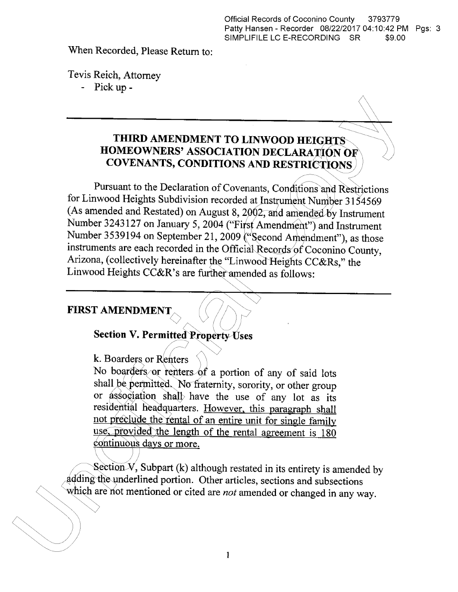**When Recorded, Please Return to:**

**Tevis Reich, Attorney**

**- Pick up -**

## **THIRD AMENDMENT TO LINWOOD HEIGHTS HOMEOWNERS' ASSOCIATION DECLARATION OF COVENANTS, CONDITIONS AND RESTRICTIONS**

**Pursuant to the Declaration of Covenants, Conditions and Restrictions for Linwood Heights Subdivision recorded at Instrument Number <sup>3154569</sup> (As amended and Restated) on August 8, 2002, and amended by Instrument Number <sup>3243127</sup> on January 5, <sup>2004</sup> ("First Amendment") and Instrument Number <sup>3539194</sup> on September 21, <sup>2009</sup> ("Second Amendment"), as those instruments are each recorded in the Official Records of Coconino County, Arizona, (collectively hereinafter the "Linwood Heights CC&Rs," the Linwood Heights CC&R's are further amended as follows:**

### **FIRST AMENDMENT**

# **Section V. Permitted Property Uses**

**k. Boarders or Renters**

**No boarders or renters of <sup>a</sup> portion of any of said lots shall be permitted. No fraternity,sorority, or other group or association shall have the use of any lot as its residential headquarters. However, this paragraph shall not preclude the rental of an entire unit for single family use, provided the length of the rental agreement is <sup>180</sup> continuous days or more.**

Section  $V$ , Subpart (k) although restated in its entirety is amended by **adding the underlined portion. Other articles,sections and subsections which are not mentioned or cited are not amended or changed in any way.**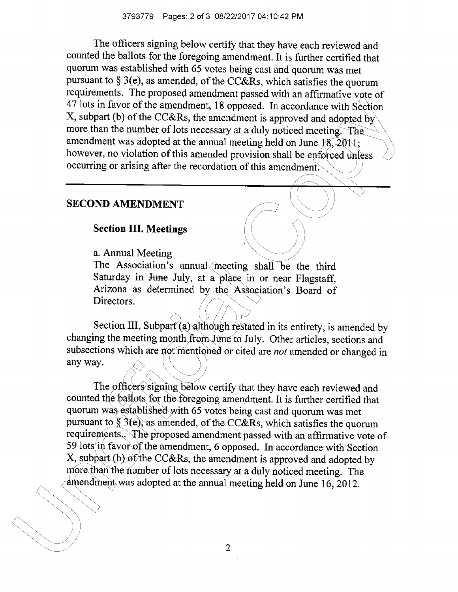**The officers signing below certifythat they have each reviewed and counted the ballots for the foregoing amendment. It is further certifiedthat quorum was established with <sup>65</sup> votes being cast and quorum was met pursuant to 3(e), as amended, of the CC&Rs, which satisfiesthe quorum requirements. The proposed amendment passed with an affirmative vote of <sup>47</sup> lots in favor of the amendment, <sup>18</sup> opposed. In accordance with Section X, subpart (b) of the CC&Rs, the amendment is approved and adopted by more than the number of lots necessary at <sup>a</sup> duly noticed meeting. The amendment was adopted at the annual meeting held on June 18, 2011; however, no violation of this amended provision shall be enforced unless occurring or arising after the recordation of this amendment.**

#### **SECOND AMENDMENT**

#### **Section IIL Meetings**

**a. Annual Meeting**

**The Association's annual meeting shall be the third Saturday in June July, at <sup>a</sup> place in or near Flagstaff, Arizona as determined by the Association's Board of Directors.**

**Section III,Subpart (a) although restated in itsentirety,is amended by changing the meeting month from June to July. Other articles,sections and subsections which are not mentioned or cited are not amended or changed in any way.**

**The officers signing below certifythat they have each reviewed and counted the ballots for the foregoing amendment. It is further certifiedthat quorum was established with <sup>65</sup> votes being cast and quorum was met pursuant to 3(e), as amended, of the CC&Rs, which satisfiesthe quorum requirements.. The proposed amendment passed with an affirmative vote of <sup>59</sup> lots in favor of the amendment, <sup>6</sup> opposed. In accordance with Section X, subpart (b) of the CC&Rs, the amendment is approved and adopted by more than the number of lots necessary at <sup>a</sup> duly noticed meeting. The amendment was adopted at the annual meeting held on June 16, 2012.**